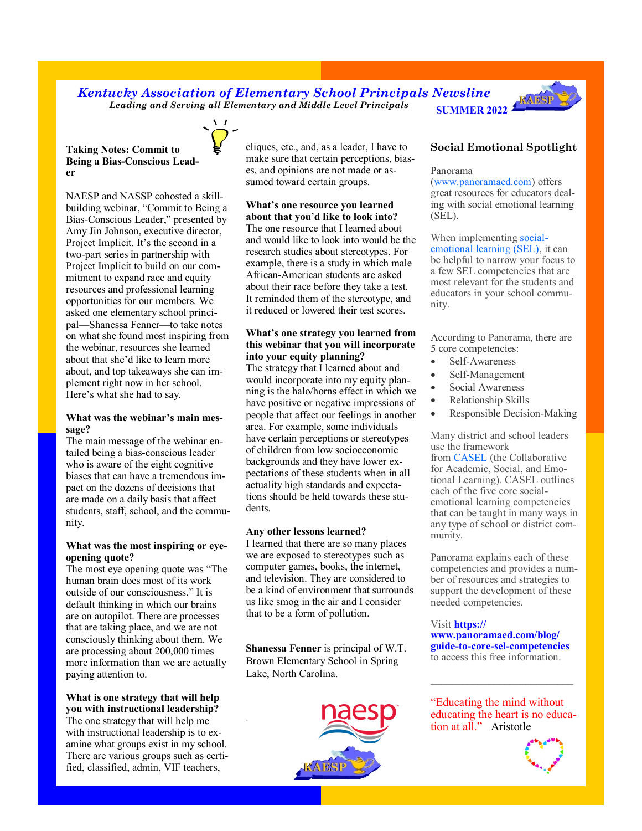# *Kentucky Association of Elementary School Principals Newsline*  **SUMMER 2022** *Leading and Serving all Elementary and Middle Level Principals*



# **Taking Notes: Commit to Being a Bias-Conscious Leader**

NAESP and NASSP cohosted a skillbuilding webinar, "Commit to Being a Bias-Conscious Leader," presented by Amy Jin Johnson, executive director, Project Implicit. It's the second in a two-part series in partnership with Project Implicit to build on our commitment to expand race and equity resources and professional learning opportunities for our members. We asked one elementary school principal—Shanessa Fenner—to take notes on what she found most inspiring from the webinar, resources she learned about that she'd like to learn more about, and top takeaways she can implement right now in her school. Here's what she had to say.

# **What was the webinar's main message?**

The main message of the webinar entailed being a bias-conscious leader who is aware of the eight cognitive biases that can have a tremendous impact on the dozens of decisions that are made on a daily basis that affect students, staff, school, and the community.

# **What was the most inspiring or eyeopening quote?**

The most eye opening quote was "The human brain does most of its work outside of our consciousness." It is default thinking in which our brains are on autopilot. There are processes that are taking place, and we are not consciously thinking about them. We are processing about 200,000 times more information than we are actually paying attention to.

## **What is one strategy that will help you with instructional leadership?**

The one strategy that will help me with instructional leadership is to examine what groups exist in my school. There are various groups such as certified, classified, admin, VIF teachers,

cliques, etc., and, as a leader, I have to make sure that certain perceptions, biases, and opinions are not made or assumed toward certain groups.

# **What's one resource you learned about that you'd like to look into?**

The one resource that I learned about and would like to look into would be the research studies about stereotypes. For example, there is a study in which male African-American students are asked about their race before they take a test. It reminded them of the stereotype, and it reduced or lowered their test scores.

# **What's one strategy you learned from this webinar that you will incorporate into your equity planning?**

The strategy that I learned about and would incorporate into my equity planning is the halo/horns effect in which we have positive or negative impressions of people that affect our feelings in another area. For example, some individuals have certain perceptions or stereotypes of children from low socioeconomic backgrounds and they have lower expectations of these students when in all actuality high standards and expectations should be held towards these students.

# **Any other lessons learned?**

I learned that there are so many places we are exposed to stereotypes such as computer games, books, the internet, and television. They are considered to be a kind of environment that surrounds us like smog in the air and I consider that to be a form of pollution.

**Shanessa Fenner** is principal of W.T. Brown Elementary School in Spring Lake, North Carolina.

.



# **Social Emotional Spotlight**

### Panorama

[\(www.panoramaed.com\)](http://www.panoramaed.com) offers great resources for educators dealing with social emotional learning (SEL).

When implementing [social](https://www.panoramaed.com/blog/social-emotional-learning-sel)[emotional learning \(SEL\),](https://www.panoramaed.com/blog/social-emotional-learning-sel) it can be helpful to narrow your focus to a few SEL competencies that are most relevant for the students and educators in your school community.

According to Panorama, there are 5 core competencies:

- Self-Awareness
- Self-Management
- Social Awareness
- Relationship Skills
- Responsible Decision-Making

Many district and school leaders use the framework from [CASEL](https://casel.org/) (the Collaborative for Academic, Social, and Emo-

tional Learning). CASEL outlines each of the five core socialemotional learning competencies that can be taught in many ways in any type of school or district community.

Panorama explains each of these competencies and provides a number of resources and strategies to support the development of these needed competencies.

## Visit **https:// www.panoramaed.com/blog/ guide-to-core-sel-competencies** to access this free information.

"Educating the mind without educating the heart is no education at all." Aristotle

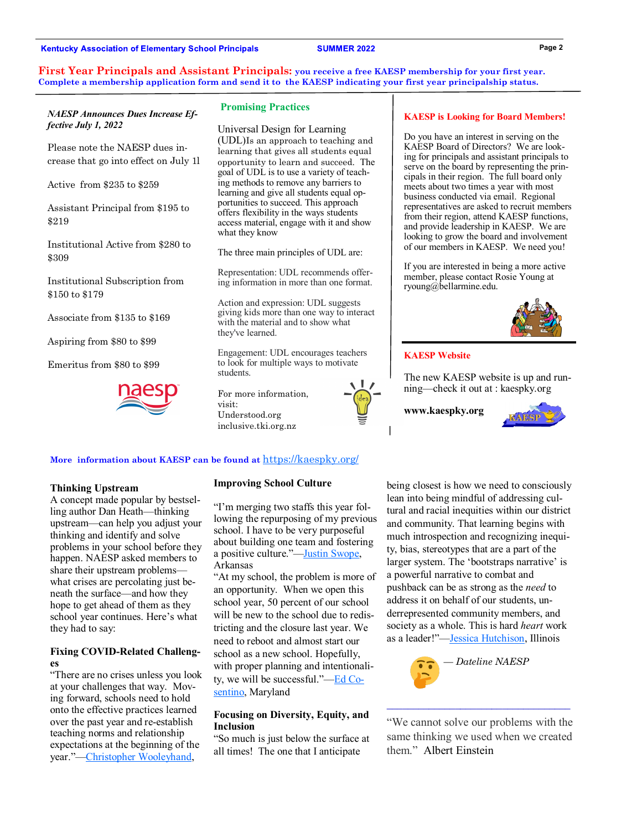#### **Kentucky Association of Elementary School Principals**

### **SUMMER 2022**

**First Year Principals and Assistant Principals: you receive a free KAESP membership for your first year. Complete a membership application form and send it to the KAESP indicating your first year principalship status.** 

# *NAESP Announces Dues Increase Effective July 1, 2022*

Please note the NAESP dues increase that go into effect on July 1l

Active from \$235 to \$259

Assistant Principal from \$195 to \$219

Institutional Active from \$280 to \$309

Institutional Subscription from \$150 to \$179

Associate from \$135 to \$169

Aspiring from \$80 to \$99

Emeritus from \$80 to \$99



#### **Promising Practices**

Universal Design for Learning (UDL)Is an approach to teaching and learning that gives all students equal opportunity to learn and succeed. The goal of UDL is to use a variety of teaching methods to remove any barriers to learning and give all students equal opportunities to succeed. This approach offers flexibility in the ways students access material, engage with it and show what they know

The three main principles of UDL are:

Representation: UDL recommends offering information in more than one format.

Action and expression: UDL suggests giving kids more than one way to interact with the material and to show what they've learned.

Engagement: UDL encourages teachers to look for multiple ways to motivate students.

For more information, visit: Understood.org inclusive.tki.org.nz



#### **More information about KAESP can be found at** <https://kaespky.org/>

## **Thinking Upstream**

A concept made popular by bestselling author Dan Heath—thinking upstream—can help you adjust your thinking and identify and solve problems in your school before they happen. NAESP asked members to share their upstream problems what crises are percolating just beneath the surface—and how they hope to get ahead of them as they school year continues. Here's what they had to say:

## **Fixing COVID-Related Challenges**

"There are no crises unless you look at your challenges that way. Moving forward, schools need to hold onto the effective practices learned over the past year and re-establish teaching norms and relationship expectations at the beginning of the year."[—Christopher Wooleyhand,](https://twitter.com/principal64)

#### **Improving School Culture**

"I'm merging two staffs this year following the repurposing of my previous school. I have to be very purposeful about building one team and fostering a positive culture."—[Justin Swope,](https://twitter.com/JustinSwope) Arkansas

"At my school, the problem is more of an opportunity. When we open this school year, 50 percent of our school will be new to the school due to redistricting and the closure last year. We need to reboot and almost start our school as a new school. Hopefully, with proper planning and intentionality, we will be successful."—[Ed Co](https://twitter.com/PrincipalECos)[sentino,](https://twitter.com/PrincipalECos) Maryland

## **Focusing on Diversity, Equity, and Inclusion**

"So much is just below the surface at all times! The one that I anticipate

**KAESP is Looking for Board Members!**

Do you have an interest in serving on the KAESP Board of Directors? We are looking for principals and assistant principals to serve on the board by representing the principals in their region. The full board only meets about two times a year with most business conducted via email. Regional representatives are asked to recruit members from their region, attend KAESP functions, and provide leadership in KAESP. We are looking to grow the board and involvement of our members in KAESP. We need you!

If you are interested in being a more active member, please contact Rosie Young at ryoung@bellarmine.edu.



## **KAESP Website**

The new KAESP website is up and running—check it out at : kaespky.org

**www.kaespky.org** 



being closest is how we need to consciously lean into being mindful of addressing cultural and racial inequities within our district and community. That learning begins with much introspection and recognizing inequity, bias, stereotypes that are a part of the larger system. The 'bootstraps narrative' is a powerful narrative to combat and pushback can be as strong as the *need* to address it on behalf of our students, underrepresented community members, and society as a whole. This is hard *heart* work as a leader!"[—Jessica Hutchison,](https://twitter.com/jesshutchisonAW) Illinois



"We cannot solve our problems with the same thinking we used when we created them." Albert Einstein

**\_\_\_\_\_\_\_\_\_\_\_\_\_\_\_\_\_\_\_\_\_\_\_\_\_\_\_\_\_\_\_\_\_\_\_**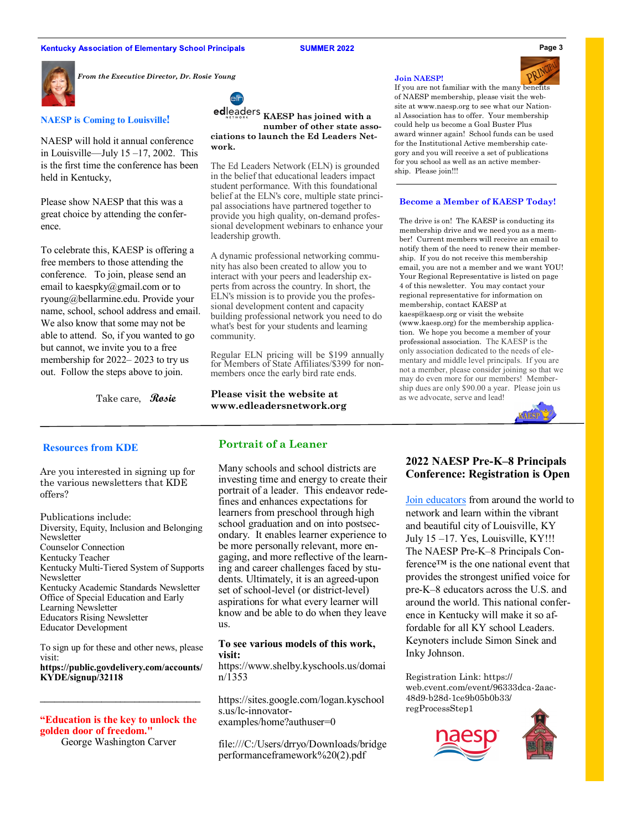#### **Kentucky Association of Elementary School Principals**

**SUMMER 2022** 



*From the Executive Director, Dr. Rosie Young*

**NAESP is Coming to Louisville!**

NAESP will hold it annual conference in Louisville—July  $15 - 17$ , 2002. This is the first time the conference has been held in Kentucky,

Please show NAESP that this was a great choice by attending the conference.

To celebrate this, KAESP is offering a free members to those attending the conference. To join, please send an email to kaespky@gmail.com or to ryoung@bellarmine.edu. Provide your name, school, school address and email. We also know that some may not be able to attend. So, if you wanted to go but cannot, we invite you to a free membership for 2022– 2023 to try us out. Follow the steps above to join.

Take care, **Rosie**



**ed**leaders **KAESP has joined with a number of other state associations to launch the Ed Leaders Network.** 

The Ed Leaders Network (ELN) is grounded in the belief that educational leaders impact student performance. With this foundational belief at the ELN's core, multiple state principal associations have partnered together to provide you high quality, on-demand professional development webinars to enhance your leadership growth.

A dynamic professional networking community has also been created to allow you to interact with your peers and leadership experts from across the country. In short, the ELN's mission is to provide you the professional development content and capacity building professional network you need to do what's best for your students and learning community.

Regular ELN pricing will be \$199 annually for Members of State Affiliates/\$399 for nonmembers once the early bird rate ends.

**Please visit the website at www.edleadersnetwork.org**

#### **Join NAESP!**



If you are not familiar with the many benefits of NAESP membership, please visit the website at www.naesp.org to see what our National Association has to offer. Your membership could help us become a Goal Buster Plus award winner again! School funds can be used for the Institutional Active membership category and you will receive a set of publications for you school as well as an active membership. Please join!!!

#### **Become a Member of KAESP Today!**

The drive is on! The KAESP is conducting its membership drive and we need you as a member! Current members will receive an email to notify them of the need to renew their membership. If you do not receive this membership email, you are not a member and we want YOU! Your Regional Representative is listed on page 4 of this newsletter. You may contact your regional representative for information on membership, contact KAESP at kaesp@kaesp.org or visit the website (www.kaesp.org) for the membership application. We hope you become a member of your professional association. The KAESP is the only association dedicated to the needs of elementary and middle level principals. If you are not a member, please consider joining so that we may do even more for our members! Membership dues are only \$90.00 a year. Please join us as we advocate, serve and lead!



#### **Resources from KDE**

Are you interested in signing up for the various newsletters that KDE offers?

Publications include: Diversity, Equity, Inclusion and Belonging Newsletter Counselor Connection Kentucky Teacher Kentucky Multi-Tiered System of Supports Newsletter Kentucky Academic Standards Newsletter Office of Special Education and Early Learning Newsletter Educators Rising Newsletter Educator Development

To sign up for these and other news, please visit: **https://public.govdelivery.com/accounts/ KYDE/signup/32118**

**"Education is the key to unlock the golden door of freedom."**

George Washington Carver

# **Portrait of a Leaner**

Many schools and school districts are investing time and energy to create their portrait of a leader. This endeavor redefines and enhances expectations for learners from preschool through high school graduation and on into postsecondary. It enables learner experience to be more personally relevant, more engaging, and more reflective of the learning and career challenges faced by students. Ultimately, it is an agreed-upon set of school-level (or district-level) aspirations for what every learner will know and be able to do when they leave us.

### **To see various models of this work, visit:**

[https://www.shelby.kyschools.us/domai](https://www.shelby.kyschools.us/domain/1353) [n/1353](https://www.shelby.kyschools.us/domain/1353)

https://sites.google.com/logan.kyschool s.us/lc-innovatorexamples/home?authuser=0

file:///C:/Users/drryo/Downloads/bridge performanceframework%20(2).pdf

# **2022 NAESP Pre-K–8 Principals Conference: Registration is Open**

[Join educators](https://web.cvent.com/event/b091f4a9-a618-4e45-8532-7427c8c22651/regProcessStep1) from around the world to network and learn within the vibrant and beautiful city of Louisville, KY July 15 –17. Yes, Louisville, KY!!! The NAESP Pre-K–8 Principals Conference™ is the one national event that provides the strongest unified voice for pre-K–8 educators across the U.S. and around the world. This national conference in Kentucky will make it so affordable for all KY school Leaders. Keynoters include Simon Sinek and Inky Johnson.

Registration Link: https:// web.cvent.com/event/96333dca-2aac-48d9-b28d-1ce9b05b0b33/ regProcessStep1





**Page 3**